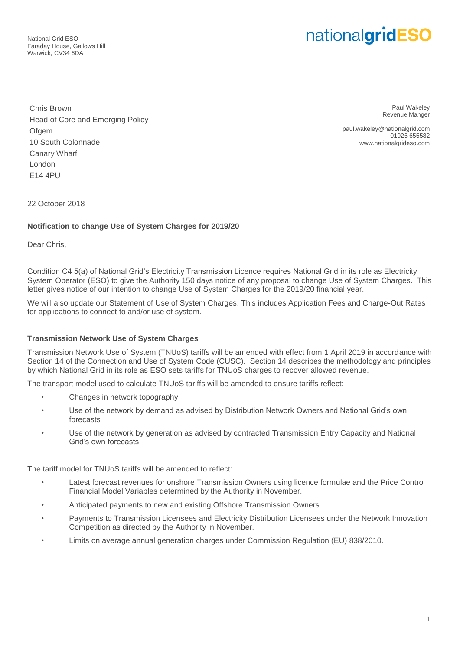National Grid ESO Faraday House, Gallows Hill Warwick, CV34 6DA

# nationalgridESO

Chris Brown Head of Core and Emerging Policy **Ofgem** 10 South Colonnade Canary Wharf London E14 4PU

Paul Wakeley Revenue Manger

paul.wakeley@nationalgrid.com 01926 655582 www.nationalgrideso.com

22 October 2018

## **Notification to change Use of System Charges for 2019/20**

Dear Chris,

Condition C4 5(a) of National Grid's Electricity Transmission Licence requires National Grid in its role as Electricity System Operator (ESO) to give the Authority 150 days notice of any proposal to change Use of System Charges. This letter gives notice of our intention to change Use of System Charges for the 2019/20 financial year.

We will also update our Statement of Use of System Charges. This includes Application Fees and Charge-Out Rates for applications to connect to and/or use of system.

## **Transmission Network Use of System Charges**

Transmission Network Use of System (TNUoS) tariffs will be amended with effect from 1 April 2019 in accordance with Section 14 of the Connection and Use of System Code (CUSC). Section 14 describes the methodology and principles by which National Grid in its role as ESO sets tariffs for TNUoS charges to recover allowed revenue.

The transport model used to calculate TNUoS tariffs will be amended to ensure tariffs reflect:

- Changes in network topography
- Use of the network by demand as advised by Distribution Network Owners and National Grid's own forecasts
- Use of the network by generation as advised by contracted Transmission Entry Capacity and National Grid's own forecasts

The tariff model for TNUoS tariffs will be amended to reflect:

- Latest forecast revenues for onshore Transmission Owners using licence formulae and the Price Control Financial Model Variables determined by the Authority in November.
- Anticipated payments to new and existing Offshore Transmission Owners.
- Payments to Transmission Licensees and Electricity Distribution Licensees under the Network Innovation Competition as directed by the Authority in November.
- Limits on average annual generation charges under Commission Regulation (EU) 838/2010.